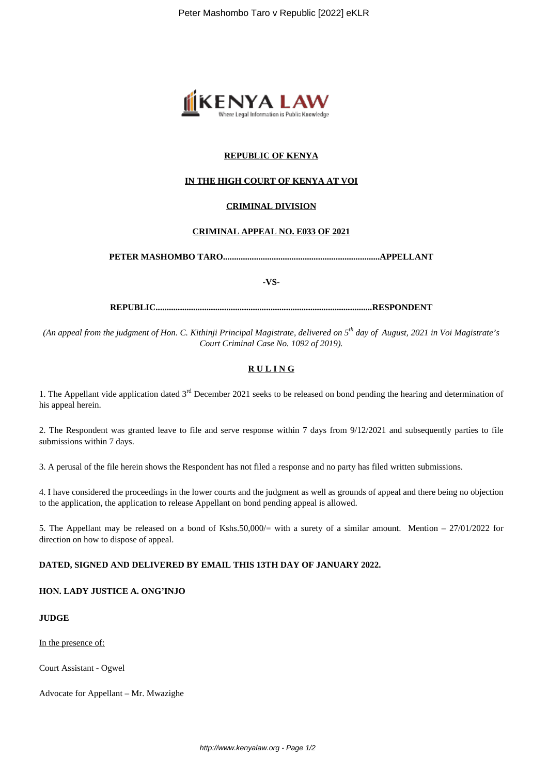

## **REPUBLIC OF KENYA**

# **IN THE HIGH COURT OF KENYA AT VOI**

### **CRIMINAL DIVISION**

### **CRIMINAL APPEAL NO. E033 OF 2021**

**PETER MASHOMBO TARO.......................................................................APPELLANT**

**-VS-**

**REPUBLIC..................................................................................................RESPONDENT**

*(An appeal from the judgment of Hon. C. Kithinji Principal Magistrate, delivered on 5th day of August, 2021 in Voi Magistrate's Court Criminal Case No. 1092 of 2019).*

### **R U L I N G**

1. The Appellant vide application dated  $3<sup>rd</sup>$  December 2021 seeks to be released on bond pending the hearing and determination of his appeal herein.

2. The Respondent was granted leave to file and serve response within 7 days from 9/12/2021 and subsequently parties to file submissions within 7 days.

3. A perusal of the file herein shows the Respondent has not filed a response and no party has filed written submissions.

4. I have considered the proceedings in the lower courts and the judgment as well as grounds of appeal and there being no objection to the application, the application to release Appellant on bond pending appeal is allowed.

5. The Appellant may be released on a bond of Kshs.50,000/ $=$  with a surety of a similar amount. Mention  $-27/01/2022$  for direction on how to dispose of appeal.

#### **DATED, SIGNED AND DELIVERED BY EMAIL THIS 13TH DAY OF JANUARY 2022.**

**HON. LADY JUSTICE A. ONG'INJO**

# **JUDGE**

In the presence of:

Court Assistant - Ogwel

Advocate for Appellant – Mr. Mwazighe